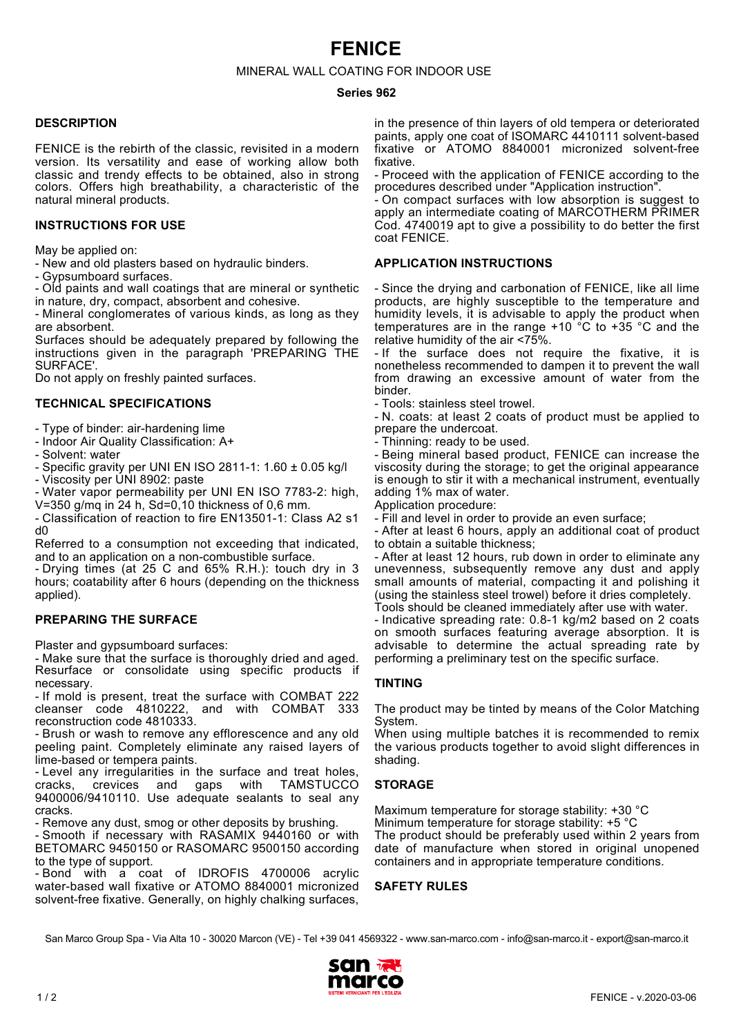# **FENICE**

MINERAL WALL COATING FOR INDOOR USE

#### **Series 962**

### **DESCRIPTION**

FENICE is the rebirth of the classic, revisited in a modern version. Its versatility and ease of working allow both classic and trendy effects to be obtained, also in strong colors. Offers high breathability, a characteristic of the natural mineral products.

### **INSTRUCTIONS FOR USE**

May be applied on:

- New and old plasters based on hydraulic binders.
- Gypsumboard surfaces.

- Old paints and wall coatings that are mineral or synthetic in nature, dry, compact, absorbent and cohesive.

- Mineral conglomerates of various kinds, as long as they are absorbent.

Surfaces should be adequately prepared by following the instructions given in the paragraph 'PREPARING THE SURFACE'.

Do not apply on freshly painted surfaces.

#### **TECHNICAL SPECIFICATIONS**

- Type of binder: air-hardening lime

- Indoor Air Quality Classification: A+
- Solvent: water
- Specific gravity per UNI EN ISO 2811-1: 1.60 ± 0.05 kg/l
- Viscosity per UNI 8902: paste
- Water vapor permeability per UNI EN ISO 7783-2: high, V=350 g/mq in 24 h, Sd=0,10 thickness of 0,6 mm.

- Classification of reaction to fire EN13501-1: Class A2 s1 d0

Referred to a consumption not exceeding that indicated, and to an application on a non-combustible surface.

- Drying times (at 25 C and 65% R.H.): touch dry in 3 hours; coatability after 6 hours (depending on the thickness applied).

### **PREPARING THE SURFACE**

Plaster and gypsumboard surfaces:

- Make sure that the surface is thoroughly dried and aged. Resurface or consolidate using specific products if necessary.

- If mold is present, treat the surface with COMBAT 222 cleanser code 4810222, and with COMBAT 333 reconstruction code 4810333.

- Brush or wash to remove any efflorescence and any old peeling paint. Completely eliminate any raised layers of lime-based or tempera paints.

- Level any irregularities in the surface and treat holes,<br>cracks. crevices and gaps with TAMSTUCCO gaps with TAMSTUCCO 9400006/9410110. Use adequate sealants to seal any cracks.

- Remove any dust, smog or other deposits by brushing.

- Smooth if necessary with RASAMIX 9440160 or with BETOMARC 9450150 or RASOMARC 9500150 according to the type of support.

- Bond with a coat of IDROFIS 4700006 acrylic water-based wall fixative or ATOMO 8840001 micronized solvent-free fixative. Generally, on highly chalking surfaces, in the presence of thin layers of old tempera or deteriorated paints, apply one coat of ISOMARC 4410111 solvent-based fixative or ATOMO 8840001 micronized solvent-free fixative.

- Proceed with the application of FENICE according to the procedures described under "Application instruction".

- On compact surfaces with low absorption is suggest to apply an intermediate coating of MARCOTHERM PRIMER Cod. 4740019 apt to give a possibility to do better the first coat FENICE.

#### **APPLICATION INSTRUCTIONS**

- Since the drying and carbonation of FENICE, like all lime products, are highly susceptible to the temperature and humidity levels, it is advisable to apply the product when temperatures are in the range +10 °C to +35 °C and the relative humidity of the air <75%.

- If the surface does not require the fixative, it is nonetheless recommended to dampen it to prevent the wall from drawing an excessive amount of water from the binder.

- Tools: stainless steel trowel.

- N. coats: at least 2 coats of product must be applied to prepare the undercoat.

- Thinning: ready to be used.

- Being mineral based product, FENICE can increase the viscosity during the storage; to get the original appearance is enough to stir it with a mechanical instrument, eventually adding 1% max of water.

Application procedure:

- Fill and level in order to provide an even surface;

- After at least 6 hours, apply an additional coat of product to obtain a suitable thickness;

- After at least 12 hours, rub down in order to eliminate any unevenness, subsequently remove any dust and apply small amounts of material, compacting it and polishing it (using the stainless steel trowel) before it dries completely. Tools should be cleaned immediately after use with water.

- Indicative spreading rate: 0.8-1 kg/m2 based on 2 coats on smooth surfaces featuring average absorption. It is advisable to determine the actual spreading rate by performing a preliminary test on the specific surface.

## **TINTING**

The product may be tinted by means of the Color Matching System.

When using multiple batches it is recommended to remix the various products together to avoid slight differences in shading.

### **STORAGE**

Maximum temperature for storage stability: +30 °C Minimum temperature for storage stability: +5 °C The product should be preferably used within 2 years from date of manufacture when stored in original unopened containers and in appropriate temperature conditions.

**SAFETY RULES**